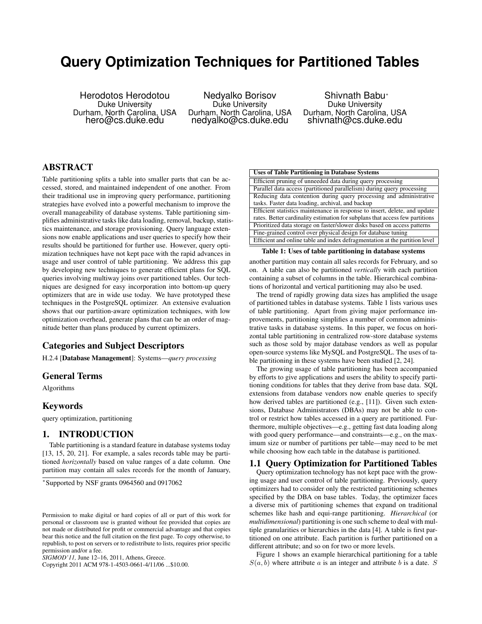# **Query Optimization Techniques for Partitioned Tables**

Herodotos Herodotou Duke University Durham, North Carolina, USA hero@cs.duke.edu

Nedyalko Borisov Duke University Durham, North Carolina, USA nedyalko@cs.duke.edu

Shivnath Babu<sup>∗</sup> Duke University Durham, North Carolina, USA shivnath@cs.duke.edu

# ABSTRACT

Table partitioning splits a table into smaller parts that can be accessed, stored, and maintained independent of one another. From their traditional use in improving query performance, partitioning strategies have evolved into a powerful mechanism to improve the overall manageability of database systems. Table partitioning simplifies administrative tasks like data loading, removal, backup, statistics maintenance, and storage provisioning. Query language extensions now enable applications and user queries to specify how their results should be partitioned for further use. However, query optimization techniques have not kept pace with the rapid advances in usage and user control of table partitioning. We address this gap by developing new techniques to generate efficient plans for SQL queries involving multiway joins over partitioned tables. Our techniques are designed for easy incorporation into bottom-up query optimizers that are in wide use today. We have prototyped these techniques in the PostgreSQL optimizer. An extensive evaluation shows that our partition-aware optimization techniques, with low optimization overhead, generate plans that can be an order of magnitude better than plans produced by current optimizers.

# Categories and Subject Descriptors

H.2.4 [Database Management]: Systems—*query processing*

## General Terms

Algorithms

# Keywords

query optimization, partitioning

# 1. INTRODUCTION

Table partitioning is a standard feature in database systems today [13, 15, 20, 21]. For example, a sales records table may be partitioned *horizontally* based on value ranges of a date column. One partition may contain all sales records for the month of January,

Copyright 2011 ACM 978-1-4503-0661-4/11/06 ...\$10.00.

| <b>Uses of Table Partitioning in Database Systems</b>                        |
|------------------------------------------------------------------------------|
| Efficient pruning of unneeded data during query processing                   |
| Parallel data access (partitioned parallelism) during query processing       |
| Reducing data contention during query processing and administrative          |
| tasks. Faster data loading, archival, and backup                             |
| Efficient statistics maintenance in response to insert, delete, and update   |
| rates. Better cardinality estimation for subplans that access few partitions |
| Prioritized data storage on faster/slower disks based on access patterns     |
| Fine-grained control over physical design for database tuning                |
| Efficient and online table and index defragmentation at the partition level  |
|                                                                              |

Table 1: Uses of table partitioning in database systems

another partition may contain all sales records for February, and so on. A table can also be partitioned *vertically* with each partition containing a subset of columns in the table. Hierarchical combinations of horizontal and vertical partitioning may also be used.

The trend of rapidly growing data sizes has amplified the usage of partitioned tables in database systems. Table 1 lists various uses of table partitioning. Apart from giving major performance improvements, partitioning simplifies a number of common administrative tasks in database systems. In this paper, we focus on horizontal table partitioning in centralized row-store database systems such as those sold by major database vendors as well as popular open-source systems like MySQL and PostgreSQL. The uses of table partitioning in these systems have been studied [2, 24].

The growing usage of table partitioning has been accompanied by efforts to give applications and users the ability to specify partitioning conditions for tables that they derive from base data. SQL extensions from database vendors now enable queries to specify how derived tables are partitioned (e.g., [11]). Given such extensions, Database Administrators (DBAs) may not be able to control or restrict how tables accessed in a query are partitioned. Furthermore, multiple objectives—e.g., getting fast data loading along with good query performance—and constraints—e.g., on the maximum size or number of partitions per table—may need to be met while choosing how each table in the database is partitioned.

#### 1.1 Query Optimization for Partitioned Tables

Query optimization technology has not kept pace with the growing usage and user control of table partitioning. Previously, query optimizers had to consider only the restricted partitioning schemes specified by the DBA on base tables. Today, the optimizer faces a diverse mix of partitioning schemes that expand on traditional schemes like hash and equi-range partitioning. *Hierarchical* (or *multidimensional*) partitioning is one such scheme to deal with multiple granularities or hierarchies in the data [4]. A table is first partitioned on one attribute. Each partition is further partitioned on a different attribute; and so on for two or more levels.

Figure 1 shows an example hierarchical partitioning for a table  $S(a, b)$  where attribute a is an integer and attribute b is a date. S

<sup>∗</sup> Supported by NSF grants 0964560 and 0917062

Permission to make digital or hard copies of all or part of this work for personal or classroom use is granted without fee provided that copies are not made or distributed for profit or commercial advantage and that copies bear this notice and the full citation on the first page. To copy otherwise, to republish, to post on servers or to redistribute to lists, requires prior specific permission and/or a fee.

*SIGMOD'11,* June 12–16, 2011, Athens, Greece.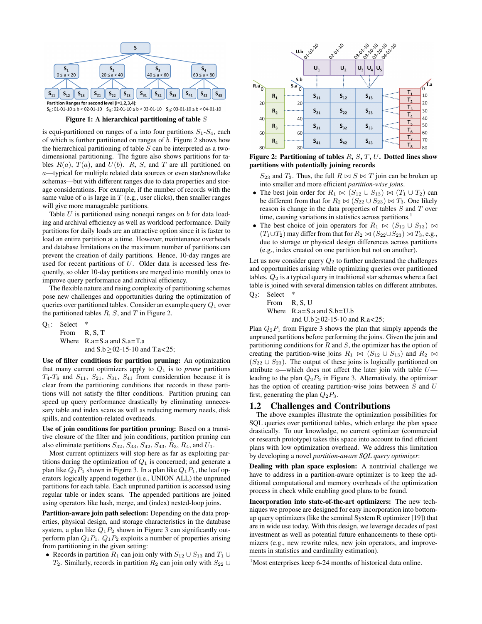

Figure 1: A hierarchical partitioning of table  $S$ 

is equi-partitioned on ranges of a into four partitions  $S_1$ - $S_4$ , each of which is further partitioned on ranges of b. Figure 2 shows how the hierarchical partitioning of table  $S$  can be interpreted as a twodimensional partitioning. The figure also shows partitions for tables  $R(a)$ ,  $T(a)$ , and  $U(b)$ . R, S, and T are all partitioned on a—typical for multiple related data sources or even star/snowflake schemas—but with different ranges due to data properties and storage considerations. For example, if the number of records with the same value of  $a$  is large in  $T$  (e.g., user clicks), then smaller ranges will give more manageable partitions.

Table  $U$  is partitioned using nonequi ranges on  $b$  for data loading and archival efficiency as well as workload performance. Daily partitions for daily loads are an attractive option since it is faster to load an entire partition at a time. However, maintenance overheads and database limitations on the maximum number of partitions can prevent the creation of daily partitions. Hence, 10-day ranges are used for recent partitions of U. Older data is accessed less frequently, so older 10-day partitions are merged into monthly ones to improve query performance and archival efficiency.

The flexible nature and rising complexity of partitioning schemes pose new challenges and opportunities during the optimization of queries over partitioned tables. Consider an example query  $Q_1$  over the partitioned tables  $R$ ,  $S$ , and  $T$  in Figure 2.

```
Q_1: Select
From R, S, T
Where R.a=S.a and S.a=T.a
       and S.b≥02-15-10 and T.a<25;
```
Use of filter conditions for partition pruning: An optimization that many current optimizers apply to  $Q_1$  is to *prune* partitions  $T_4$ - $T_8$  and  $S_{11}$ ,  $S_{21}$ ,  $S_{31}$ ,  $S_{41}$  from consideration because it is clear from the partitioning conditions that records in these partitions will not satisfy the filter conditions. Partition pruning can speed up query performance drastically by eliminating unnecessary table and index scans as well as reducing memory needs, disk spills, and contention-related overheads.

Use of join conditions for partition pruning: Based on a transitive closure of the filter and join conditions, partition pruning can also eliminate partitions  $S_{32}$ ,  $S_{33}$ ,  $S_{42}$ ,  $S_{43}$ ,  $R_3$ ,  $R_4$ , and  $U_1$ .

Most current optimizers will stop here as far as exploiting partitions during the optimization of  $Q_1$  is concerned; and generate a plan like  $Q_1P_1$  shown in Figure 3. In a plan like  $Q_1P_1$ , the leaf operators logically append together (i.e., UNION ALL) the unpruned partitions for each table. Each unpruned partition is accessed using regular table or index scans. The appended partitions are joined using operators like hash, merge, and (index) nested-loop joins.

Partition-aware join path selection: Depending on the data properties, physical design, and storage characteristics in the database system, a plan like  $Q_1P_2$  shown in Figure 3 can significantly outperform plan  $Q_1P_1$ .  $Q_1P_2$  exploits a number of properties arising from partitioning in the given setting:

• Records in partition  $R_1$  can join only with  $S_{12} \cup S_{13}$  and  $T_1 \cup$ T<sub>2</sub>. Similarly, records in partition  $R_2$  can join only with  $S_{22}$  ∪



Figure 2: Partitioning of tables  $R$ ,  $S$ ,  $T$ ,  $U$ . Dotted lines show partitions with potentially joining records

 $S_{23}$  and  $T_3$ . Thus, the full  $R \bowtie S \bowtie T$  join can be broken up into smaller and more efficient *partition-wise joins*.

- The best join order for  $R_1 \bowtie (S_{12} \cup S_{13}) \bowtie (T_1 \cup T_2)$  can be different from that for  $R_2 \bowtie (S_{22} \cup S_{23}) \bowtie T_3$ . One likely reason is change in the data properties of tables  $S$  and  $T$  over time, causing variations in statistics across partitions.<sup>1</sup>
- The best choice of join operators for  $R_1 \bowtie (S_{12} \cup S_{13}) \bowtie$  $(T_1 \cup T_2)$  may differ from that for  $R_2 \bowtie (S_{22} \cup S_{23}) \bowtie T_3$ , e.g., due to storage or physical design differences across partitions (e.g., index created on one partition but not on another).

Let us now consider query  $Q_2$  to further understand the challenges and opportunities arising while optimizing queries over partitioned tables.  $Q_2$  is a typical query in traditional star schemas where a fact table is joined with several dimension tables on different attributes.

Q2: Select \* From R, S, U Where R.a=S.a and S.b=U.b and  $U.b \ge 02-15-10$  and  $R.a < 25$ ;

Plan  $Q_2P_1$  from Figure 3 shows the plan that simply appends the unpruned partitions before performing the joins. Given the join and partitioning conditions for  $R$  and  $S$ , the optimizer has the option of creating the partition-wise joins  $R_1 \bowtie (S_{12} \cup S_{13})$  and  $R_2 \bowtie$  $(S_{22} \cup S_{23})$ . The output of these joins is logically partitioned on attribute  $a$ —which does not affect the later join with table  $U$  leading to the plan  $Q_2P_2$  in Figure 3. Alternatively, the optimizer has the option of creating partition-wise joins between  $S$  and  $U$ first, generating the plan  $Q_2P_3$ .

#### 1.2 Challenges and Contributions

The above examples illustrate the optimization possibilities for SQL queries over partitioned tables, which enlarge the plan space drastically. To our knowledge, no current optimizer (commercial or research prototype) takes this space into account to find efficient plans with low optimization overhead. We address this limitation by developing a novel *partition-aware SQL query optimizer*:

Dealing with plan space explosion: A nontrivial challenge we have to address in a partition-aware optimizer is to keep the additional computational and memory overheads of the optimization process in check while enabling good plans to be found.

Incorporation into state-of-the-art optimizers: The new techniques we propose are designed for easy incorporation into bottomup query optimizers (like the seminal System R optimizer [19]) that are in wide use today. With this design, we leverage decades of past investment as well as potential future enhancements to these optimizers (e.g., new rewrite rules, new join operators, and improvements in statistics and cardinality estimation).

<sup>&</sup>lt;sup>1</sup>Most enterprises keep 6-24 months of historical data online.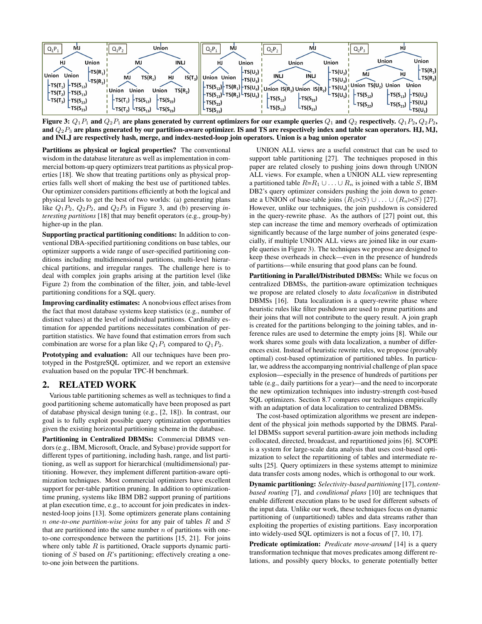

Figure 3:  $Q_1P_1$  and  $Q_2P_1$  are plans generated by current optimizers for our example queries  $Q_1$  and  $Q_2$  respectively.  $Q_1P_2$ ,  $Q_2P_2$ , and  $Q_2P_3$  are plans generated by our partition-aware optimizer. IS and TS are respectively index and table scan operators. HJ, MJ, and INLJ are respectively hash, merge, and index-nested-loop join operators. Union is a bag union operator

Partitions as physical or logical properties? The conventional wisdom in the database literature as well as implementation in commercial bottom-up query optimizers treat partitions as physical properties [18]. We show that treating partitions only as physical properties falls well short of making the best use of partitioned tables. Our optimizer considers partitions efficiently at both the logical and physical levels to get the best of two worlds: (a) generating plans like  $Q_1P_2$ ,  $Q_2P_2$ , and  $Q_2P_3$  in Figure 3, and (b) preserving *interesting partitions* [18] that may benefit operators (e.g., group-by) higher-up in the plan.

Supporting practical partitioning conditions: In addition to conventional DBA-specified partitioning conditions on base tables, our optimizer supports a wide range of user-specified partitioning conditions including multidimensional partitions, multi-level hierarchical partitions, and irregular ranges. The challenge here is to deal with complex join graphs arising at the partition level (like Figure 2) from the combination of the filter, join, and table-level partitioning conditions for a SQL query.

Improving cardinality estimates: A nonobvious effect arises from the fact that most database systems keep statistics (e.g., number of distinct values) at the level of individual partitions. Cardinality estimation for appended partitions necessitates combination of perpartition statistics. We have found that estimation errors from such combination are worse for a plan like  $Q_1P_1$  compared to  $Q_1P_2$ .

Prototyping and evaluation: All our techniques have been prototyped in the PostgreSQL optimizer, and we report an extensive evaluation based on the popular TPC-H benchmark.

# 2. RELATED WORK

Various table partitioning schemes as well as techniques to find a good partitioning scheme automatically have been proposed as part of database physical design tuning (e.g., [2, 18]). In contrast, our goal is to fully exploit possible query optimization opportunities given the existing horizontal partitioning scheme in the database.

Partitioning in Centralized DBMSs: Commercial DBMS vendors (e.g., IBM, Microsoft, Oracle, and Sybase) provide support for different types of partitioning, including hash, range, and list partitioning, as well as support for hierarchical (multidimensional) partitioning. However, they implement different partition-aware optimization techniques. Most commercial optimizers have excellent support for per-table partition pruning. In addition to optimizationtime pruning, systems like IBM DB2 support pruning of partitions at plan execution time, e.g., to account for join predicates in indexnested-loop joins [13]. Some optimizers generate plans containing n *one-to-one partition-wise joins* for any pair of tables R and S that are partitioned into the same number  $n$  of partitions with oneto-one correspondence between the partitions [15, 21]. For joins where only table  $R$  is partitioned, Oracle supports dynamic partitioning of  $S$  based on  $R$ 's partitioning; effectively creating a oneto-one join between the partitions.

UNION ALL views are a useful construct that can be used to support table partitioning [27]. The techniques proposed in this paper are related closely to pushing joins down through UNION ALL views. For example, when a UNION ALL view representing a partitioned table  $R=R_1 \cup \ldots \cup R_n$  is joined with a table S, IBM DB2's query optimizer considers pushing the join down to generate a UNION of base-table joins  $(R_1 \Join S) \cup ... \cup (R_n \Join S)$  [27]. However, unlike our techniques, the join pushdown is considered in the query-rewrite phase. As the authors of [27] point out, this step can increase the time and memory overheads of optimization significantly because of the large number of joins generated (especially, if multiple UNION ALL views are joined like in our example queries in Figure 3). The techniques we propose are designed to keep these overheads in check—even in the presence of hundreds of partitions—while ensuring that good plans can be found.

Partitioning in Parallel/Distributed DBMSs: While we focus on centralized DBMSs, the partition-aware optimization techniques we propose are related closely to *data localization* in distributed DBMSs [16]. Data localization is a query-rewrite phase where heuristic rules like filter pushdown are used to prune partitions and their joins that will not contribute to the query result. A join graph is created for the partitions belonging to the joining tables, and inference rules are used to determine the empty joins [8]. While our work shares some goals with data localization, a number of differences exist. Instead of heuristic rewrite rules, we propose (provably optimal) cost-based optimization of partitioned tables. In particular, we address the accompanying nontrivial challenge of plan space explosion—especially in the presence of hundreds of partitions per table (e.g., daily partitions for a year)—and the need to incorporate the new optimization techniques into industry-strength cost-based SQL optimizers. Section 8.7 compares our techniques empirically with an adaptation of data localization to centralized DBMSs.

The cost-based optimization algorithms we present are independent of the physical join methods supported by the DBMS. Parallel DBMSs support several partition-aware join methods including collocated, directed, broadcast, and repartitioned joins [6]. SCOPE is a system for large-scale data analysis that uses cost-based optimization to select the repartitioning of tables and intermediate results [25]. Query optimizers in these systems attempt to minimize data transfer costs among nodes, which is orthogonal to our work.

Dynamic partitioning: *Selectivity-based partitioning* [17], *contentbased routing* [7], and *conditional plans* [10] are techniques that enable different execution plans to be used for different subsets of the input data. Unlike our work, these techniques focus on dynamic partitioning of (unpartitioned) tables and data streams rather than exploiting the properties of existing partitions. Easy incorporation into widely-used SQL optimizers is not a focus of [7, 10, 17].

Predicate optimization: *Predicate move-around* [14] is a query transformation technique that moves predicates among different relations, and possibly query blocks, to generate potentially better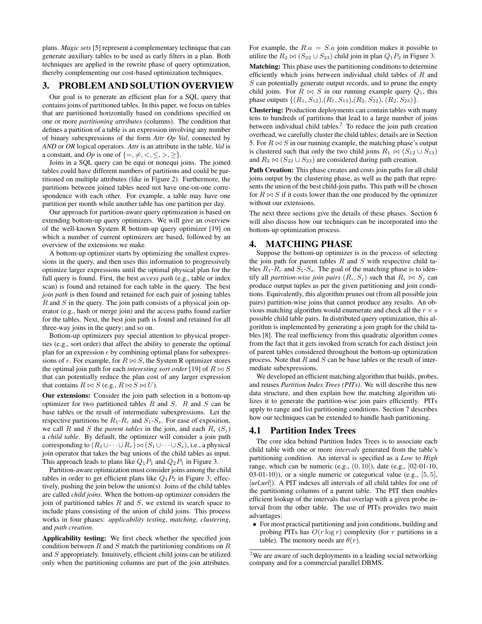plans. *Magic sets* [5] represent a complementary technique that can generate auxiliary tables to be used as early filters in a plan. Both techniques are applied in the rewrite phase of query optimization, thereby complementing our cost-based optimization techniques.

# 3. PROBLEM AND SOLUTION OVERVIEW

Our goal is to generate an efficient plan for a SQL query that contains joins of partitioned tables. In this paper, we focus on tables that are partitioned horizontally based on conditions specified on one or more *partitioning attributes* (columns). The condition that defines a partition of a table is an expression involving any number of binary subexpressions of the form *Attr Op Val*, connected by *AND* or *OR* logical operators. *Attr* is an attribute in the table, *Val* is a constant, and *Op* is one of  $\{=\neq,<,\leq,>,\geq\}$ .

Joins in a SQL query can be equi or nonequi joins. The joined tables could have different numbers of partitions and could be partitioned on multiple attributes (like in Figure 2). Furthermore, the partitions between joined tables need not have one-on-one correspondence with each other. For example, a table may have one partition per month while another table has one partition per day.

Our approach for partition-aware query optimization is based on extending bottom-up query optimizers. We will give an overview of the well-known System R bottom-up query optimizer [19] on which a number of current optimizers are based, followed by an overview of the extensions we make.

A bottom-up optimizer starts by optimizing the smallest expressions in the query, and then uses this information to progressively optimize larger expressions until the optimal physical plan for the full query is found. First, the best *access path* (e.g., table or index scan) is found and retained for each table in the query. The best *join path* is then found and retained for each pair of joining tables  $R$  and  $S$  in the query. The join path consists of a physical join operator (e.g., hash or merge join) and the access paths found earlier for the tables. Next, the best join path is found and retained for all three-way joins in the query; and so on.

Bottom-up optimizers pay special attention to physical properties (e.g., sort order) that affect the ability to generate the optimal plan for an expression e by combining optimal plans for subexpressions of e. For example, for  $R \bowtie S$ , the System R optimizer stores the optimal join path for each *interesting sort order* [19] of  $R \bowtie S$ that can potentially reduce the plan cost of any larger expression that contains  $R \bowtie S$  (e.g.,  $R \bowtie S \bowtie U$ ).

Our extensions: Consider the join path selection in a bottom-up optimizer for two partitioned tables  $R$  and  $S$ .  $R$  and  $S$  can be base tables or the result of intermediate subexpressions. Let the respective partitions be  $R_1 - R_r$  and  $S_1 - S_s$ . For ease of exposition, we call R and S the *parent tables* in the join, and each  $R_i$  ( $S_i$ ) a *child table*. By default, the optimizer will consider a join path corresponding to  $(R_1 \cup \cdots \cup R_r) \bowtie (S_1 \cup \cdots \cup S_s)$ , i.e., a physical join operator that takes the bag unions of the child tables as input. This approach leads to plans like  $Q_1P_1$  and  $Q_2P_1$  in Figure 3.

Partition-aware optimization must consider joins among the child tables in order to get efficient plans like  $Q_1P_2$  in Figure 3; effectively, pushing the join below the union(s). Joins of the child tables are called *child joins*. When the bottom-up optimizer considers the join of partitioned tables  $R$  and  $S$ , we extend its search space to include plans consisting of the union of child joins. This process works in four phases: *applicability testing*, *matching*, *clustering*, and *path creation*.

Applicability testing: We first check whether the specified join condition between  $R$  and  $S$  match the partitioning conditions on  $R$ and S appropriately. Intuitively, efficient child joins can be utilized only when the partitioning columns are part of the join attributes. For example, the  $R.a = S.a$  join condition makes it possible to utilize the  $R_2 \bowtie (S_{22} \cup S_{23})$  child join in plan  $Q_1P_2$  in Figure 3.

Matching: This phase uses the partitioning conditions to determine efficiently which joins between individual child tables of  $R$  and S can potentially generate output records, and to prune the empty child joins. For  $R \bowtie S$  in our running example query  $Q_1$ , this phase outputs  $\{(R_1, S_{12}), (R_1, S_{13}), (R_2, S_{22}), (R_2, S_{23})\}.$ 

Clustering: Production deployments can contain tables with many tens to hundreds of partitions that lead to a large number of joins between individual child tables.<sup>2</sup> To reduce the join path creation overhead, we carefully cluster the child tables; details are in Section 5. For  $R \bowtie S$  in our running example, the matching phase's output is clustered such that only the two child joins  $R_1 \bowtie (S_{12} \cup S_{13})$ and  $R_2 \bowtie (S_{22} \cup S_{23})$  are considered during path creation.

Path Creation: This phase creates and costs join paths for all child joins output by the clustering phase, as well as the path that represents the union of the best child-join paths. This path will be chosen for  $R \bowtie S$  if it costs lower than the one produced by the optimizer without our extensions.

The next three sections give the details of these phases. Section 6 will also discuss how our techniques can be incorporated into the bottom-up optimization process.

# **MATCHING PHASE**

Suppose the bottom-up optimizer is in the process of selecting the join path for parent tables  $R$  and  $S$  with respective child tables  $R_1 - R_r$  and  $S_1 - S_s$ . The goal of the matching phase is to identify all *partition-wise join pairs*  $(R_i, S_j)$  such that  $R_i \bowtie S_j$  can produce output tuples as per the given partitioning and join conditions. Equivalently, this algorithm prunes out (from all possible join pairs) partition-wise joins that cannot produce any results. An obvious matching algorithm would enumerate and check all the  $r \times s$ possible child table pairs. In distributed query optimization, this algorithm is implemented by generating a join graph for the child tables [8]. The real inefficiency from this quadratic algorithm comes from the fact that it gets invoked from scratch for each distinct join of parent tables considered throughout the bottom-up optimization process. Note that  $R$  and  $S$  can be base tables or the result of intermediate subexpressions.

We developed an efficient matching algorithm that builds, probes, and reuses *Partition Index Trees (PITs)*. We will describe this new data structure, and then explain how the matching algorithm utilizes it to generate the partition-wise join pairs efficiently. PITs apply to range and list partitioning conditions. Section 7 describes how our techniques can be extended to handle hash partitioning.

# 4.1 Partition Index Trees

The core idea behind Partition Index Trees is to associate each child table with one or more *intervals* generated from the table's partitioning condition. An interval is specified as a *Low* to *High* range, which can be numeric (e.g.,  $(0, 10)$ ), date (e.g.,  $[02-01-10]$ ,  $(03-01-10)$ ), or a single numeric or categorical value (e.g., [5, 5], [*url,url*]). A PIT indexes all intervals of all child tables for one of the partitioning columns of a parent table. The PIT then enables efficient lookup of the intervals that overlap with a given probe interval from the other table. The use of PITs provides two main advantages:

• For most practical partitioning and join conditions, building and probing PITs has  $O(r \log r)$  complexity (for r partitions in a table). The memory needs are  $\theta(r)$ .

<sup>&</sup>lt;sup>2</sup>We are aware of such deployments in a leading social networking company and for a commercial parallel DBMS.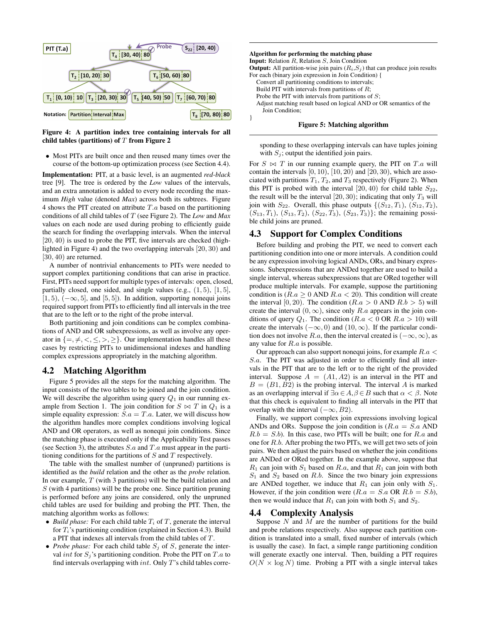

Figure 4: A partition index tree containing intervals for all child tables (partitions) of  $T$  from Figure 2

• Most PITs are built once and then reused many times over the course of the bottom-up optimization process (see Section 4.4).

Implementation: PIT, at a basic level, is an augmented *red-black* tree [9]. The tree is ordered by the *Low* values of the intervals, and an extra annotation is added to every node recording the maximum *High* value (denoted *Max*) across both its subtrees. Figure 4 shows the PIT created on attribute  $T.a$  based on the partitioning conditions of all child tables of T (see Figure 2). The *Low* and *Max* values on each node are used during probing to efficiently guide the search for finding the overlapping intervals. When the interval [20, 40) is used to probe the PIT, five intervals are checked (highlighted in Figure 4) and the two overlapping intervals [20, 30) and [30, 40) are returned.

A number of nontrivial enhancements to PITs were needed to support complex partitioning conditions that can arise in practice. First, PITs need support for multiple types of intervals: open, closed, partially closed, one sided, and single values (e.g.,  $(1, 5)$ ,  $[1, 5]$ ,  $[1, 5), (-\infty, 5]$ , and  $[5, 5]$ ). In addition, supporting nonequi joins required support from PITs to efficiently find all intervals in the tree that are to the left or to the right of the probe interval.

Both partitioning and join conditions can be complex combinations of AND and OR subexpressions, as well as involve any operator in  $\{ =, \neq, \leq, \leq, >, \geq \}$ . Our implementation handles all these cases by restricting PITs to unidimensional indexes and handling complex expressions appropriately in the matching algorithm.

# 4.2 Matching Algorithm

Figure 5 provides all the steps for the matching algorithm. The input consists of the two tables to be joined and the join condition. We will describe the algorithm using query  $Q_1$  in our running example from Section 1. The join condition for  $S \bowtie T$  in  $Q_1$  is a simple equality expression:  $S.a = T.a$ . Later, we will discuss how the algorithm handles more complex conditions involving logical AND and OR operators, as well as nonequi join conditions. Since the matching phase is executed only if the Applicability Test passes (see Section 3), the attributes  $S.a$  and  $T.a$  must appear in the partitioning conditions for the partitions of  $S$  and  $T$  respectively.

The table with the smallest number of (unpruned) partitions is identified as the *build* relation and the other as the *probe* relation. In our example,  $T$  (with 3 partitions) will be the build relation and  $S$  (with 4 partitions) will be the probe one. Since partition pruning is performed before any joins are considered, only the unpruned child tables are used for building and probing the PIT. Then, the matching algorithm works as follows:

- *Build phase:* For each child table  $T_i$  of  $T$ , generate the interval for  $T_i$ 's partitioning condition (explained in Section 4.3). Build a PIT that indexes all intervals from the child tables of T.
- *Probe phase:* For each child table  $S_j$  of S, generate the interval *int* for  $S_i$ 's partitioning condition. Probe the PIT on T.a to find intervals overlapping with  $int$ . Only T's child tables corre-



#### Figure 5: Matching algorithm

sponding to these overlapping intervals can have tuples joining with  $S_i$ ; output the identified join pairs.

For  $S \bowtie T$  in our running example query, the PIT on T.a will contain the intervals  $[0, 10)$ ,  $[10, 20)$  and  $[20, 30)$ , which are associated with partitions  $T_1, T_2$ , and  $T_3$  respectively (Figure 2). When this PIT is probed with the interval  $[20, 40)$  for child table  $S_{22}$ , the result will be the interval  $[20, 30)$ ; indicating that only  $T_3$  will join with  $S_{22}$ . Overall, this phase outputs  $\{(S_{12}, T_1), (S_{12}, T_2),\}$  $(S_{13}, T_1), (S_{13}, T_2), (S_{22}, T_3), (S_{23}, T_3)$ ; the remaining possible child joins are pruned.

#### 4.3 Support for Complex Conditions

Before building and probing the PIT, we need to convert each partitioning condition into one or more intervals. A condition could be any expression involving logical ANDs, ORs, and binary expressions. Subexpressions that are ANDed together are used to build a single interval, whereas subexpressions that are ORed together will produce multiple intervals. For example, suppose the partitioning condition is  $(R.a \geq 0$  AND  $R.a < 20)$ . This condition will create the interval [0, 20]. The condition ( $R.a > 0$  AND  $R.b > 5$ ) will create the interval  $(0, \infty)$ , since only R.a appears in the join conditions of query  $Q_1$ . The condition ( $Ra < 0$  OR  $Ra > 10$ ) will create the intervals  $(-\infty, 0)$  and  $(10, \infty)$ . If the particular condition does not involve R.a, then the interval created is  $(-\infty, \infty)$ , as any value for  $R.a$  is possible.

Our approach can also support nonequi joins, for example  $R.a <$ S.a. The PIT was adjusted in order to efficiently find all intervals in the PIT that are to the left or to the right of the provided interval. Suppose  $A = (A1, A2)$  is an interval in the PIT and  $B = (B1, B2)$  is the probing interval. The interval A is marked as an overlapping interval if  $\exists \alpha \in A, \beta \in B$  such that  $\alpha < \beta$ . Note that this check is equivalent to finding all intervals in the PIT that overlap with the interval  $(-\infty, B2)$ .

Finally, we support complex join expressions involving logical ANDs and ORs. Suppose the join condition is  $(R.a = S.a \text{ AND})$  $R.b = S.b$ . In this case, two PITs will be built; one for R.a and one for R.b. After probing the two PITs, we will get two sets of join pairs. We then adjust the pairs based on whether the join conditions are ANDed or ORed together. In the example above, suppose that  $R_1$  can join with  $S_1$  based on  $R.a$ , and that  $R_1$  can join with both  $S_1$  and  $S_2$  based on R.b. Since the two binary join expressions are ANDed together, we induce that  $R_1$  can join only with  $S_1$ . However, if the join condition were  $(R.a = S.a \text{ OR } R.b = S.b)$ , then we would induce that  $R_1$  can join with both  $S_1$  and  $S_2$ .

#### 4.4 Complexity Analysis

Suppose  $N$  and  $M$  are the number of partitions for the build and probe relations respectively. Also suppose each partition condition is translated into a small, fixed number of intervals (which is usually the case). In fact, a simple range partitioning condition will generate exactly one interval. Then, building a PIT requires  $O(N \times \log N)$  time. Probing a PIT with a single interval takes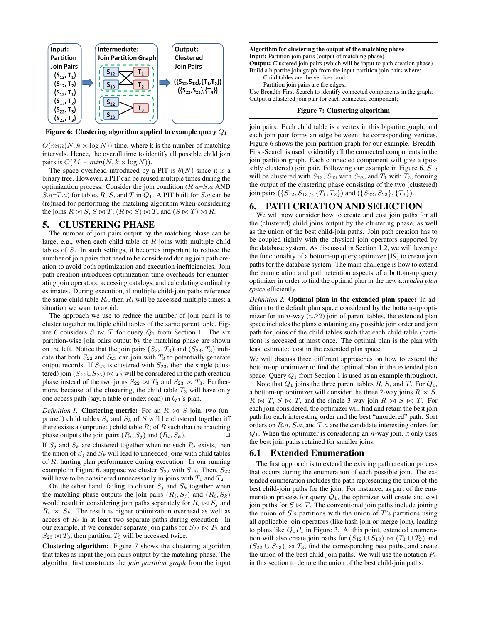

Figure 6: Clustering algorithm applied to example query  $Q_1$ 

 $O(min(N, k \times \log N))$  time, where k is the number of matching intervals. Hence, the overall time to identify all possible child join pairs is  $O(M \times min(N, k \times \log N)).$ 

The space overhead introduced by a PIT is  $\theta(N)$  since it is a binary tree. However, a PIT can be reused multiple times during the optimization process. Consider the join condition  $(R.a = S.a \text{ AND } )$  $S.a=T.a$ ) for tables R, S, and T in  $Q_1$ . A PIT built for S.a can be (re)used for performing the matching algorithm when considering the joins  $R \bowtie S$ ,  $S \bowtie T$ ,  $(R \bowtie S) \bowtie T$ , and  $(S \bowtie T) \bowtie R$ .

# 5. CLUSTERING PHASE

The number of join pairs output by the matching phase can be large, e.g., when each child table of  $R$  joins with multiple child tables of S. In such settings, it becomes important to reduce the number of join pairs that need to be considered during join path creation to avoid both optimization and execution inefficiencies. Join path creation introduces optimization-time overheads for enumerating join operators, accessing catalogs, and calculating cardinality estimates. During execution, if multiple child-join paths reference the same child table  $R_i$ , then  $R_i$  will be accessed multiple times; a situation we want to avoid.

The approach we use to reduce the number of join pairs is to cluster together multiple child tables of the same parent table. Figure 6 considers  $S \bowtie T$  for query  $Q_1$  from Section 1. The six partition-wise join pairs output by the matching phase are shown on the left. Notice that the join pairs  $(S_{22}, T_3)$  and  $(S_{23}, T_3)$  indicate that both  $S_{22}$  and  $S_{23}$  can join with  $T_3$  to potentially generate output records. If  $S_{22}$  is clustered with  $S_{23}$ , then the single (clustered) join  $(S_{22} \cup S_{23}) \bowtie T_3$  will be considered in the path creation phase instead of the two joins  $S_{22} \bowtie T_3$  and  $S_{23} \bowtie T_3$ . Furthermore, because of the clustering, the child table  $T_3$  will have only one access path (say, a table or index scan) in  $Q_1$ 's plan.

*Definition 1.* Clustering metric: For an  $R \bowtie S$  join, two (unpruned) child tables  $S_j$  and  $S_k$  of S will be clustered together iff there exists a (unpruned) child table  $R_i$  of R such that the matching phase outputs the join pairs  $(R_i, S_j)$  and  $(R_i, S_k)$ . If  $S_i$  and  $S_k$  are clustered together when no such  $R_i$  exists, then the union of  $S_i$  and  $S_k$  will lead to unneeded joins with child tables of R; hurting plan performance during execution. In our running example in Figure 6, suppose we cluster  $S_{22}$  with  $S_{13}$ . Then,  $S_{22}$ will have to be considered unnecessarily in joins with  $T_1$  and  $T_2$ .

On the other hand, failing to cluster  $S_i$  and  $S_k$  together when the matching phase outputs the join pairs  $(R_i, S_j)$  and  $(R_i, S_k)$ would result in considering join paths separately for  $R_i \bowtie S_j$  and  $R_i \bowtie S_k$ . The result is higher optimization overhead as well as access of  $R_i$  in at least two separate paths during execution. In our example, if we consider separate join paths for  $S_{22} \bowtie T_3$  and  $S_{23} \bowtie T_3$ , then partition  $T_3$  will be accessed twice.

Clustering algorithm: Figure 7 shows the clustering algorithm that takes as input the join pairs output by the matching phase. The algorithm first constructs the *join partition graph* from the input

Algorithm for clustering the output of the matching phase Input: Partition join pairs (output of matching phase) Output: Clustered join pairs (which will be input to path creation phase) Build a bipartite join graph from the input partition join pairs where: Child tables are the vertices, and

Partition join pairs are the edges;

Use Breadth-First-Search to identify connected components in the graph; Output a clustered join pair for each connected component;

#### Figure 7: Clustering algorithm

join pairs. Each child table is a vertex in this bipartite graph, and each join pair forms an edge between the corresponding vertices. Figure 6 shows the join partition graph for our example. Breadth-First-Search is used to identify all the connected components in the join partition graph. Each connected component will give a (possibly clustered) join pair. Following our example in Figure 6,  $S_{12}$ will be clustered with  $S_{13}$ ,  $S_{22}$  with  $S_{23}$ , and  $T_1$  with  $T_2$ , forming the output of the clustering phase consisting of the two (clustered) join pairs  $({S_{12}, S_{13}}, {T_1, T_2})$  and  $({S_{22}, S_{23}}, {T_3}).$ 

# 6. PATH CREATION AND SELECTION

We will now consider how to create and cost join paths for all the (clustered) child joins output by the clustering phase, as well as the union of the best child-join paths. Join path creation has to be coupled tightly with the physical join operators supported by the database system. As discussed in Section 1.2, we will leverage the functionality of a bottom-up query optimizer [19] to create join paths for the database system. The main challenge is how to extend the enumeration and path retention aspects of a bottom-up query optimizer in order to find the optimal plan in the new *extended plan space* efficiently.

*Definition 2.* Optimal plan in the extended plan space: In addition to the default plan space considered by the bottom-up optimizer for an *n*-way ( $n \ge 2$ ) join of parent tables, the extended plan space includes the plans containing any possible join order and join path for joins of the child tables such that each child table (partition) is accessed at most once. The optimal plan is the plan with least estimated cost in the extended plan space.

We will discuss three different approaches on how to extend the bottom-up optimizer to find the optimal plan in the extended plan space. Query  $Q_1$  from Section 1 is used as an example throughout.

Note that  $Q_1$  joins the three parent tables  $R$ ,  $S$ , and  $T$ . For  $Q_1$ , a bottom-up optimizer will consider the three 2-way joins  $R \bowtie S$ ,  $R \bowtie T$ ,  $S \bowtie T$ , and the single 3-way join  $R \bowtie S \bowtie T$ . For each join considered, the optimizer will find and retain the best join path for each interesting order and the best "unordered" path. Sort orders on R.a, S.a, and T.a are the candidate interesting orders for  $Q_1$ . When the optimizer is considering an *n*-way join, it only uses the best join paths retained for smaller joins.

#### 6.1 Extended Enumeration

The first approach is to extend the existing path creation process that occurs during the enumeration of each possible join. The extended enumeration includes the path representing the union of the best child-join paths for the join. For instance, as part of the enumeration process for query  $Q_1$ , the optimizer will create and cost join paths for  $S \bowtie T$ . The conventional join paths include joining the union of  $S$ 's partitions with the union of  $T$ 's partitions using all applicable join operators (like hash join or merge join), leading to plans like  $Q_1P_1$  in Figure 3. At this point, extended enumeration will also create join paths for  $(S_{12} \cup S_{13}) \bowtie (T_1 \cup T_2)$  and  $(S_{22} \cup S_{23}) \bowtie T_3$ , find the corresponding best paths, and create the union of the best child-join paths. We will use the notation  $P_u$ in this section to denote the union of the best child-join paths.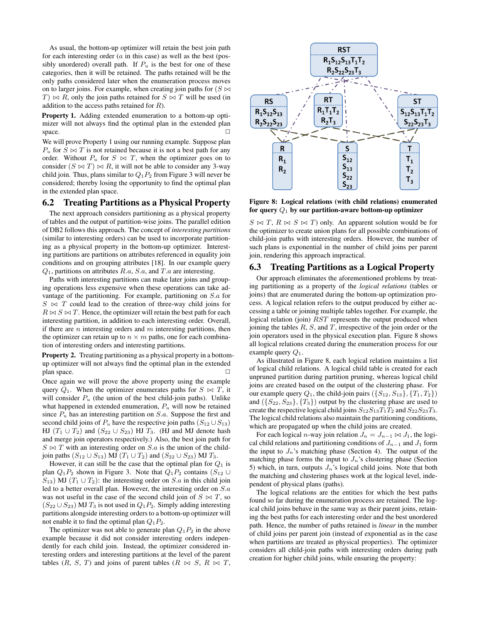As usual, the bottom-up optimizer will retain the best join path for each interesting order  $(a$  in this case) as well as the best (possibly unordered) overall path. If  $P_u$  is the best for one of these categories, then it will be retained. The paths retained will be the only paths considered later when the enumeration process moves on to larger joins. For example, when creating join paths for  $(S \bowtie$  $T) \bowtie R$ , only the join paths retained for  $S \bowtie T$  will be used (in addition to the access paths retained for  $R$ ).

Property 1. Adding extended enumeration to a bottom-up optimizer will not always find the optimal plan in the extended plan space.  $\Box$ 

We will prove Property 1 using our running example. Suppose plan  $P_u$  for  $S \bowtie T$  is not retained because it is not a best path for any order. Without  $P_u$  for  $S \bowtie T$ , when the optimizer goes on to consider  $(S \bowtie T) \bowtie R$ , it will not be able to consider any 3-way child join. Thus, plans similar to  $Q_1P_2$  from Figure 3 will never be considered; thereby losing the opportunity to find the optimal plan in the extended plan space.

# 6.2 Treating Partitions as a Physical Property

The next approach considers partitioning as a physical property of tables and the output of partition-wise joins. The parallel edition of DB2 follows this approach. The concept of *interesting partitions* (similar to interesting orders) can be used to incorporate partitioning as a physical property in the bottom-up optimizer. Interesting partitions are partitions on attributes referenced in equality join conditions and on grouping attributes [18]. In our example query  $Q_1$ , partitions on attributes  $R.a$ ,  $S.a$ , and  $T.a$  are interesting.

Paths with interesting partitions can make later joins and grouping operations less expensive when these operations can take advantage of the partitioning. For example, partitioning on S.a for  $S \Join T$  could lead to the creation of three-way child joins for  $R \bowtie S \bowtie T$ . Hence, the optimizer will retain the best path for each interesting partition, in addition to each interesting order. Overall, if there are  $n$  interesting orders and  $m$  interesting partitions, then the optimizer can retain up to  $n \times m$  paths, one for each combination of interesting orders and interesting partitions.

Property 2. Treating partitioning as a physical property in a bottomup optimizer will not always find the optimal plan in the extended plan space.  $\Box$ 

Once again we will prove the above property using the example query  $Q_1$ . When the optimizer enumerates paths for  $S \bowtie T$ , it will consider  $P_u$  (the union of the best child-join paths). Unlike what happened in extended enumeration,  $P_u$  will now be retained since  $P_u$  has an interesting partition on  $S.a$ . Suppose the first and second child joins of  $P_u$  have the respective join paths  $(S_{12} \cup S_{13})$ HJ  $(T_1 \cup T_2)$  and  $(S_{22} \cup S_{23})$  HJ  $T_3$ . (HJ and MJ denote hash and merge join operators respectively.) Also, the best join path for  $S \bowtie T$  with an interesting order on S.a is the union of the childjoin paths  $(S_{12} \cup S_{13})$  MJ  $(T_1 \cup T_2)$  and  $(S_{22} \cup S_{23})$  MJ  $T_3$ .

However, it can still be the case that the optimal plan for  $Q_1$  is plan  $Q_1P_2$  shown in Figure 3. Note that  $Q_1P_2$  contains  $(S_{12} \cup$  $S_{13}$ ) MJ ( $T_1 \cup T_2$ ): the interesting order on S.a in this child join led to a better overall plan. However, the interesting order on S.a was not useful in the case of the second child join of  $S \bowtie T$ , so  $(S_{22} \cup S_{23})$  MJ  $T_3$  is not used in  $Q_1P_2$ . Simply adding interesting partitions alongside interesting orders to a bottom-up optimizer will not enable it to find the optimal plan  $Q_1P_2$ .

The optimizer was not able to generate plan  $Q_1P_2$  in the above example because it did not consider interesting orders independently for each child join. Instead, the optimizer considered interesting orders and interesting partitions at the level of the parent tables  $(R, S, T)$  and joins of parent tables  $(R \bowtie S, R \bowtie T,$ 



Figure 8: Logical relations (with child relations) enumerated for query  $Q_1$  by our partition-aware bottom-up optimizer

 $S \bowtie T$ ,  $R \bowtie S \bowtie T$ ) only. An apparent solution would be for the optimizer to create union plans for all possible combinations of child-join paths with interesting orders. However, the number of such plans is exponential in the number of child joins per parent join, rendering this approach impractical.

# 6.3 Treating Partitions as a Logical Property

Our approach eliminates the aforementioned problems by treating partitioning as a property of the *logical relations* (tables or joins) that are enumerated during the bottom-up optimization process. A logical relation refers to the output produced by either accessing a table or joining multiple tables together. For example, the logical relation (join) RST represents the output produced when joining the tables  $R$ ,  $S$ , and  $T$ , irrespective of the join order or the join operators used in the physical execution plan. Figure 8 shows all logical relations created during the enumeration process for our example query  $Q_1$ .

As illustrated in Figure 8, each logical relation maintains a list of logical child relations. A logical child table is created for each unpruned partition during partition pruning, whereas logical child joins are created based on the output of the clustering phase. For our example query  $Q_1$ , the child-join pairs  $({S_{12}, S_{13}}, {T_1, T_2})$ and  $({S_{22}, S_{23}}, {T_3})$  output by the clustering phase are used to create the respective logical child joins  $S_{12}S_{13}T_1T_2$  and  $S_{22}S_{23}T_3$ . The logical child relations also maintain the partitioning conditions, which are propagated up when the child joins are created.

For each logical *n*-way join relation  $J_n = J_{n-1} \bowtie J_1$ , the logical child relations and partitioning conditions of  $J_{n-1}$  and  $J_1$  form the input to  $J_n$ 's matching phase (Section 4). The output of the matching phase forms the input to  $J_n$ 's clustering phase (Section 5) which, in turn, outputs  $J_n$ 's logical child joins. Note that both the matching and clustering phases work at the logical level, independent of physical plans (paths).

The logical relations are the entities for which the best paths found so far during the enumeration process are retained. The logical child joins behave in the same way as their parent joins, retaining the best paths for each interesting order and the best unordered path. Hence, the number of paths retained is *linear* in the number of child joins per parent join (instead of exponential as in the case when partitions are treated as physical properties). The optimizer considers all child-join paths with interesting orders during path creation for higher child joins, while ensuring the property: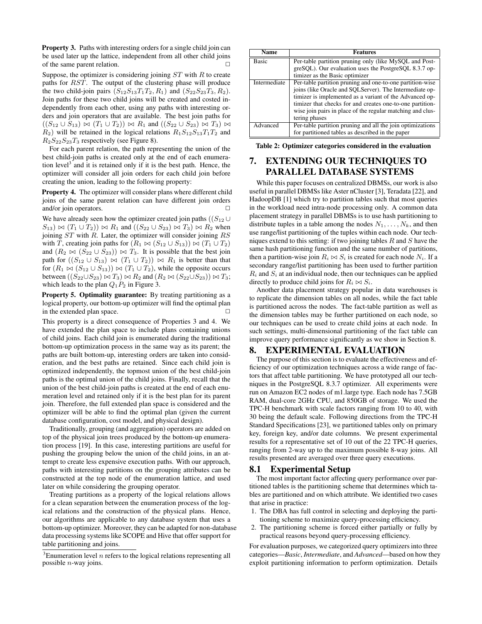Property 3. Paths with interesting orders for a single child join can be used later up the lattice, independent from all other child joins of the same parent relation.

Suppose, the optimizer is considering joining  $ST$  with R to create paths for RST. The output of the clustering phase will produce the two child-join pairs  $(S_{12}S_{13}T_1T_2, R_1)$  and  $(S_{22}S_{23}T_3, R_2)$ . Join paths for these two child joins will be created and costed independently from each other, using any paths with interesting orders and join operators that are available. The best join paths for  $((S_{12} \cup S_{13}) \bowtie (T_1 \cup T_2)) \bowtie R_1$  and  $((S_{22} \cup S_{23}) \bowtie T_3) \bowtie$  $R_2$ ) will be retained in the logical relations  $R_1S_{12}S_{13}T_1T_2$  and  $R_2S_{22}S_{23}T_3$  respectively (see Figure 8).

For each parent relation, the path representing the union of the best child-join paths is created only at the end of each enumeration level<sup>3</sup> and it is retained only if it is the best path. Hence, the optimizer will consider all join orders for each child join before creating the union, leading to the following property:

Property 4. The optimizer will consider plans where different child joins of the same parent relation can have different join orders and/or join operators.

We have already seen how the optimizer created join paths ( $(S_{12} \cup$  $S_{13}$   $\bowtie$   $(T_1 \cup T_2)$   $\bowtie$   $R_1$  and  $((S_{22} \cup S_{23}) \bowtie T_3) \bowtie R_2$  when joining  $ST$  with R. Later, the optimizer will consider joining  $RS$ with T, creating join paths for  $(R_1 \bowtie (S_{12} \cup S_{13})) \bowtie (T_1 \cup T_2)$ and  $(R_2 \bowtie (S_{22} \cup S_{23})) \bowtie T_3$ . It is possible that the best join path for  $((S_{12} \cup S_{13}) \bowtie (T_1 \cup T_2)) \bowtie R_1$  is better than that for  $(R_1 \bowtie (S_{12} \cup S_{13})) \bowtie (T_1 \cup T_2)$ , while the opposite occurs between  $((S_{22}\cup S_{23})\bowtie T_3) \bowtie R_2$  and  $(R_2 \bowtie (S_{22}\cup S_{23})) \bowtie T_3$ ; which leads to the plan  $Q_1P_2$  in Figure 3.

Property 5. Optimality guarantee: By treating partitioning as a logical property, our bottom-up optimizer will find the optimal plan in the extended plan space.

This property is a direct consequence of Properties 3 and 4. We have extended the plan space to include plans containing unions of child joins. Each child join is enumerated during the traditional bottom-up optimization process in the same way as its parent; the paths are built bottom-up, interesting orders are taken into consideration, and the best paths are retained. Since each child join is optimized independently, the topmost union of the best child-join paths is the optimal union of the child joins. Finally, recall that the union of the best child-join paths is created at the end of each enumeration level and retained only if it is the best plan for its parent join. Therefore, the full extended plan space is considered and the optimizer will be able to find the optimal plan (given the current database configuration, cost model, and physical design).

Traditionally, grouping (and aggregation) operators are added on top of the physical join trees produced by the bottom-up enumeration process [19]. In this case, interesting partitions are useful for pushing the grouping below the union of the child joins, in an attempt to create less expensive execution paths. With our approach, paths with interesting partitions on the grouping attributes can be constructed at the top node of the enumeration lattice, and used later on while considering the grouping operator.

Treating partitions as a property of the logical relations allows for a clean separation between the enumeration process of the logical relations and the construction of the physical plans. Hence, our algorithms are applicable to any database system that uses a bottom-up optimizer. Moreover, they can be adapted for non-database data processing systems like SCOPE and Hive that offer support for table partitioning and joins.

| <b>Name</b>  | <b>Features</b>                                            |  |  |
|--------------|------------------------------------------------------------|--|--|
| <b>Basic</b> | Per-table partition pruning only (like MySQL and Post-     |  |  |
|              | greSQL). Our evaluation uses the PostgreSQL 8.3.7 op-      |  |  |
|              | timizer as the Basic optimizer                             |  |  |
| Intermediate | Per-table partition pruning and one-to-one partition-wise  |  |  |
|              | joins (like Oracle and SQLServer). The Intermediate op-    |  |  |
|              | timizer is implemented as a variant of the Advanced op-    |  |  |
|              | timizer that checks for and creates one-to-one partition-  |  |  |
|              | wise join pairs in place of the regular matching and clus- |  |  |
|              | tering phases                                              |  |  |
| Advanced     | Per-table partition pruning and all the join optimizations |  |  |
|              | for partitioned tables as described in the paper           |  |  |

Table 2: Optimizer categories considered in the evaluation

# 7. EXTENDING OUR TECHNIQUES TO PARALLEL DATABASE SYSTEMS

While this paper focuses on centralized DBMSs, our work is also useful in parallel DBMSs like Aster nCluster [3], Teradata [22], and HadoopDB [1] which try to partition tables such that most queries in the workload need intra-node processing only. A common data placement strategy in parallel DBMSs is to use hash partitioning to distribute tuples in a table among the nodes  $N_1, \ldots, N_k$ , and then use range/list partitioning of the tuples within each node. Our techniques extend to this setting: if two joining tables  $R$  and  $S$  have the same hash partitioning function and the same number of partitions, then a partition-wise join  $R_i \bowtie S_i$  is created for each node  $N_i$ . If a secondary range/list partitioning has been used to further partition  $R_i$  and  $S_i$  at an individual node, then our techniques can be applied directly to produce child joins for  $R_i \bowtie S_i$ .

Another data placement strategy popular in data warehouses is to replicate the dimension tables on all nodes, while the fact table is partitioned across the nodes. The fact-table partition as well as the dimension tables may be further partitioned on each node, so our techniques can be used to create child joins at each node. In such settings, multi-dimensional partitioning of the fact table can improve query performance significantly as we show in Section 8.

# 8. EXPERIMENTAL EVALUATION

The purpose of this section is to evaluate the effectiveness and efficiency of our optimization techniques across a wide range of factors that affect table partitioning. We have prototyped all our techniques in the PostgreSQL 8.3.7 optimizer. All experiments were run on Amazon EC2 nodes of m1.large type. Each node has 7.5GB RAM, dual-core 2GHz CPU, and 850GB of storage. We used the TPC-H benchmark with scale factors ranging from 10 to 40, with 30 being the default scale. Following directions from the TPC-H Standard Specifications [23], we partitioned tables only on primary key, foreign key, and/or date columns. We present experimental results for a representative set of 10 out of the 22 TPC-H queries, ranging from 2-way up to the maximum possible 8-way joins. All results presented are averaged over three query executions.

## 8.1 Experimental Setup

The most important factor affecting query performance over partitioned tables is the partitioning scheme that determines which tables are partitioned and on which attribute. We identified two cases that arise in practice:

- 1. The DBA has full control in selecting and deploying the partitioning scheme to maximize query-processing efficiency.
- 2. The partitioning scheme is forced either partially or fully by practical reasons beyond query-processing efficiency.

For evaluation purposes, we categorized query optimizers into three categories—*Basic*, *Intermediate*, and *Advanced*—based on how they exploit partitioning information to perform optimization. Details

 $3$ Enumeration level *n* refers to the logical relations representing all possible n-way joins.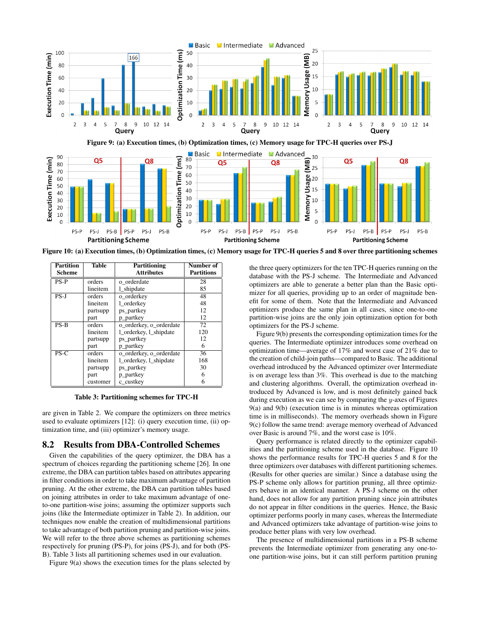

Figure 10: (a) Execution times, (b) Optimization times, (c) Memory usage for TPC-H queries 5 and 8 over three partitioning schemes

| <b>Partition</b> | <b>Table</b> | <b>Partitioning</b>     | Number of         |
|------------------|--------------|-------------------------|-------------------|
| Scheme           |              | <b>Attributes</b>       | <b>Partitions</b> |
| <b>PS-P</b>      | orders       | o orderdate             | 28                |
|                  | lineitem     | 1_shipdate              | 85                |
| PS-J             | orders       | o orderkey              | 48                |
|                  | lineitem     | 1 orderkey              | 48                |
|                  | partsupp     | ps_partkey              | 12                |
|                  | part         | p_partkey               | 12                |
| $PS-B$           | orders       | o_orderkey, o_orderdate | 72                |
|                  | lineitem     | l_orderkey, l_shipdate  | 120               |
|                  | partsupp     | ps_partkey              | 12                |
|                  | part         | p_partkey               | 6                 |
| $PS-C$           | orders       | o_orderkey, o_orderdate | 36                |
|                  | lineitem     | 1_orderkey, 1_shipdate  | 168               |
|                  | partsupp     | ps_partkey              | 30                |
|                  | part         | p_partkey               | 6                 |
|                  | customer     | c custkey               | 6                 |

Table 3: Partitioning schemes for TPC-H

are given in Table 2. We compare the optimizers on three metrics used to evaluate optimizers [12]: (i) query execution time, (ii) optimization time, and (iii) optimizer's memory usage.

#### 8.2 Results from DBA-Controlled Schemes

Given the capabilities of the query optimizer, the DBA has a spectrum of choices regarding the partitioning scheme [26]. In one extreme, the DBA can partition tables based on attributes appearing in filter conditions in order to take maximum advantage of partition pruning. At the other extreme, the DBA can partition tables based on joining attributes in order to take maximum advantage of oneto-one partition-wise joins; assuming the optimizer supports such joins (like the Intermediate optimizer in Table 2). In addition, our techniques now enable the creation of multidimensional partitions to take advantage of both partition pruning and partition-wise joins. We will refer to the three above schemes as partitioning schemes respectively for pruning (PS-P), for joins (PS-J), and for both (PS-B). Table 3 lists all partitioning schemes used in our evaluation.

Figure 9(a) shows the execution times for the plans selected by

the three query optimizers for the ten TPC-H queries running on the database with the PS-J scheme. The Intermediate and Advanced optimizers are able to generate a better plan than the Basic optimizer for all queries, providing up to an order of magnitude benefit for some of them. Note that the Intermediate and Advanced optimizers produce the same plan in all cases, since one-to-one partition-wise joins are the only join optimization option for both optimizers for the PS-J scheme.

Figure 9(b) presents the corresponding optimization times for the queries. The Intermediate optimizer introduces some overhead on optimization time—average of 17% and worst case of 21% due to the creation of child-join paths—compared to Basic. The additional overhead introduced by the Advanced optimizer over Intermediate is on average less than 3%. This overhead is due to the matching and clustering algorithms. Overall, the optimization overhead introduced by Advanced is low, and is most definitely gained back during execution as we can see by comparing the  $y$ -axes of Figures 9(a) and 9(b) (execution time is in minutes whereas optimization time is in milliseconds). The memory overheads shown in Figure 9(c) follow the same trend: average memory overhead of Advanced over Basic is around 7%, and the worst case is 10%.

Query performance is related directly to the optimizer capabilities and the partitioning scheme used in the database. Figure 10 shows the performance results for TPC-H queries 5 and 8 for the three optimizers over databases with different partitioning schemes. (Results for other queries are similar.) Since a database using the PS-P scheme only allows for partition pruning, all three optimizers behave in an identical manner. A PS-J scheme on the other hand, does not allow for any partition pruning since join attributes do not appear in filter conditions in the queries. Hence, the Basic optimizer performs poorly in many cases, whereas the Intermediate and Advanced optimizers take advantage of partition-wise joins to produce better plans with very low overhead.

The presence of multidimensional partitions in a PS-B scheme prevents the Intermediate optimizer from generating any one-toone partition-wise joins, but it can still perform partition pruning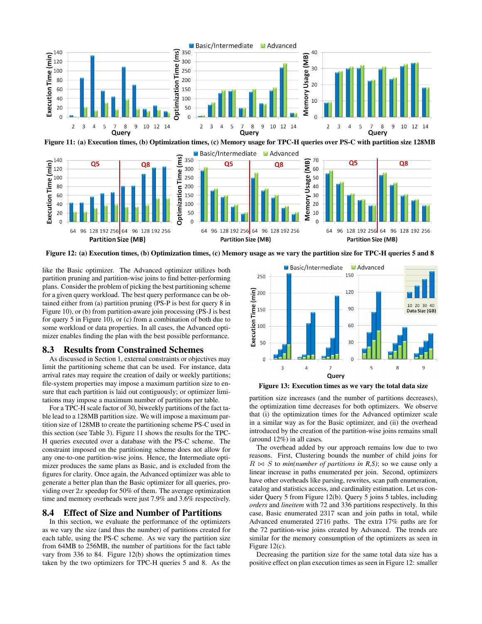

Figure 11: (a) Execution times, (b) Optimization times, (c) Memory usage for TPC-H queries over PS-C with partition size 128MB



Figure 12: (a) Execution times, (b) Optimization times, (c) Memory usage as we vary the partition size for TPC-H queries 5 and 8

like the Basic optimizer. The Advanced optimizer utilizes both partition pruning and partition-wise joins to find better-performing plans. Consider the problem of picking the best partitioning scheme for a given query workload. The best query performance can be obtained either from (a) partition pruning (PS-P is best for query 8 in Figure 10), or (b) from partition-aware join processing (PS-J is best for query 5 in Figure 10), or (c) from a combination of both due to some workload or data properties. In all cases, the Advanced optimizer enables finding the plan with the best possible performance.

## 8.3 Results from Constrained Schemes

As discussed in Section 1, external constraints or objectives may limit the partitioning scheme that can be used. For instance, data arrival rates may require the creation of daily or weekly partitions; file-system properties may impose a maximum partition size to ensure that each partition is laid out contiguously; or optimizer limitations may impose a maximum number of partitions per table.

For a TPC-H scale factor of 30, biweekly partitions of the fact table lead to a 128MB partition size. We will impose a maximum partition size of 128MB to create the partitioning scheme PS-C used in this section (see Table 3). Figure 11 shows the results for the TPC-H queries executed over a database with the PS-C scheme. The constraint imposed on the partitioning scheme does not allow for any one-to-one partition-wise joins. Hence, the Intermediate optimizer produces the same plans as Basic, and is excluded from the figures for clarity. Once again, the Advanced optimizer was able to generate a better plan than the Basic optimizer for all queries, providing over  $2x$  speedup for 50% of them. The average optimization time and memory overheads were just 7.9% and 3.6% respectively.

#### 8.4 Effect of Size and Number of Partitions

In this section, we evaluate the performance of the optimizers as we vary the size (and thus the number) of partitions created for each table, using the PS-C scheme. As we vary the partition size from 64MB to 256MB, the number of partitions for the fact table vary from 336 to 84. Figure 12(b) shows the optimization times taken by the two optimizers for TPC-H queries 5 and 8. As the



Figure 13: Execution times as we vary the total data size

partition size increases (and the number of partitions decreases), the optimization time decreases for both optimizers. We observe that (i) the optimization times for the Advanced optimizer scale in a similar way as for the Basic optimizer, and (ii) the overhead introduced by the creation of the partition-wise joins remains small (around 12%) in all cases.

The overhead added by our approach remains low due to two reasons. First, Clustering bounds the number of child joins for  $R \bowtie S$  to *min(number of partitions in R,S)*; so we cause only a linear increase in paths enumerated per join. Second, optimizers have other overheads like parsing, rewrites, scan path enumeration, catalog and statistics access, and cardinality estimation. Let us consider Query 5 from Figure 12(b). Query 5 joins 5 tables, including *orders* and *lineitem* with 72 and 336 partitions respectively. In this case, Basic enumerated 2317 scan and join paths in total, while Advanced enumerated 2716 paths. The extra 17% paths are for the 72 partition-wise joins created by Advanced. The trends are similar for the memory consumption of the optimizers as seen in Figure 12(c).

Decreasing the partition size for the same total data size has a positive effect on plan execution times as seen in Figure 12: smaller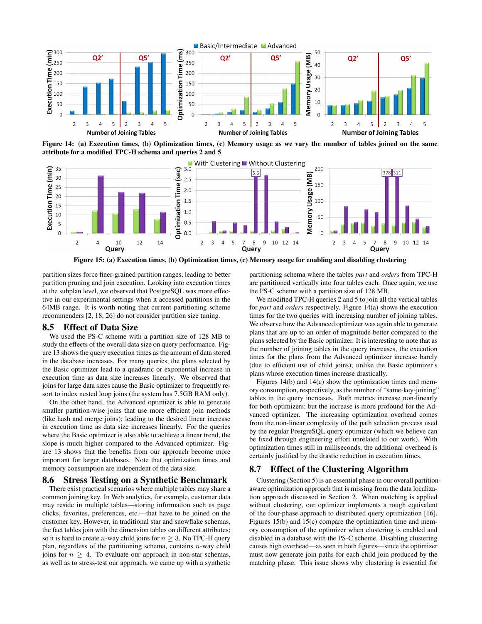

Figure 14: (a) Execution times, (b) Optimization times, (c) Memory usage as we vary the number of tables joined on the same attribute for a modified TPC-H schema and queries 2 and 5



Figure 15: (a) Execution times, (b) Optimization times, (c) Memory usage for enabling and disabling clustering

partition sizes force finer-grained partition ranges, leading to better partition pruning and join execution. Looking into execution times at the subplan level, we observed that PostgreSQL was more effective in our experimental settings when it accessed partitions in the 64MB range. It is worth noting that current partitioning scheme recommenders [2, 18, 26] do not consider partition size tuning.

## 8.5 Effect of Data Size

We used the PS-C scheme with a partition size of 128 MB to study the effects of the overall data size on query performance. Figure 13 shows the query execution times as the amount of data stored in the database increases. For many queries, the plans selected by the Basic optimizer lead to a quadratic or exponential increase in execution time as data size increases linearly. We observed that joins for large data sizes cause the Basic optimizer to frequently resort to index nested loop joins (the system has 7.5GB RAM only).

On the other hand, the Advanced optimizer is able to generate smaller partition-wise joins that use more efficient join methods (like hash and merge joins); leading to the desired linear increase in execution time as data size increases linearly. For the queries where the Basic optimizer is also able to achieve a linear trend, the slope is much higher compared to the Advanced optimizer. Figure 13 shows that the benefits from our approach become more important for larger databases. Note that optimization times and memory consumption are independent of the data size.

## 8.6 Stress Testing on a Synthetic Benchmark

There exist practical scenarios where multiple tables may share a common joining key. In Web analytics, for example, customer data may reside in multiple tables—storing information such as page clicks, favorites, preferences, etc.—that have to be joined on the customer key. However, in traditional star and snowflake schemas, the fact tables join with the dimension tables on different attributes; so it is hard to create *n*-way child joins for  $n \geq 3$ . No TPC-H query plan, regardless of the partitioning schema, contains  $n$ -way child joins for  $n \geq 4$ . To evaluate our approach in non-star schemas, as well as to stress-test our approach, we came up with a synthetic partitioning schema where the tables *part* and *orders* from TPC-H are partitioned vertically into four tables each. Once again, we use the PS-C scheme with a partition size of 128 MB.

We modified TPC-H queries 2 and 5 to join all the vertical tables for *part* and *orders* respectively. Figure 14(a) shows the execution times for the two queries with increasing number of joining tables. We observe how the Advanced optimizer was again able to generate plans that are up to an order of magnitude better compared to the plans selected by the Basic optimizer. It is interesting to note that as the number of joining tables in the query increases, the execution times for the plans from the Advanced optimizer increase barely (due to efficient use of child joins); unlike the Basic optimizer's plans whose execution times increase drastically.

Figures 14(b) and 14(c) show the optimization times and memory consumption, respectively, as the number of "same-key-joining" tables in the query increases. Both metrics increase non-linearly for both optimizers; but the increase is more profound for the Advanced optimizer. The increasing optimization overhead comes from the non-linear complexity of the path selection process used by the regular PostgreSQL query optimizer (which we believe can be fixed through engineering effort unrelated to our work). With optimization times still in milliseconds, the additional overhead is certainly justified by the drastic reduction in execution times.

## 8.7 Effect of the Clustering Algorithm

Clustering (Section 5) is an essential phase in our overall partitionaware optimization approach that is missing from the data localization approach discussed in Section 2. When matching is applied without clustering, our optimizer implements a rough equivalent of the four-phase approach to distributed query optimization [16]. Figures 15(b) and 15(c) compare the optimization time and memory consumption of the optimizer when clustering is enabled and disabled in a database with the PS-C scheme. Disabling clustering causes high overhead—as seen in both figures—since the optimizer must now generate join paths for each child join produced by the matching phase. This issue shows why clustering is essential for